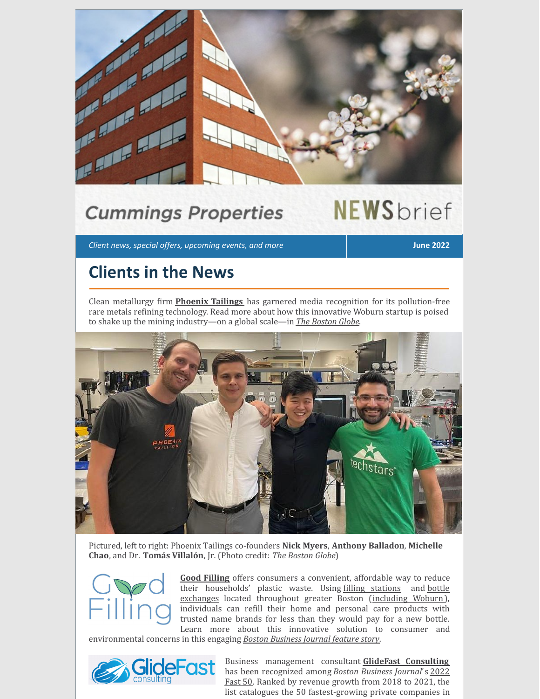

## **Cummings Properties**

# **NEWS**brief

*Client news, special offers, upcoming events, and more* **June 2022**

### **Clients in the News**

Clean metallurgy irm **[Phoenix](https://www.phoenixtailings.com/) Tailings** has garnered media recognition for its pollution-free rare metals re
ining technology. Read more about how this innovative Woburn startup is poised to shake up the mining industry—on a global scale—in *The [Boston](https://www.bostonglobe.com/2022/05/12/business/woburn-startup-aims-break-chinas-grip-rare-metals/) Globe*.



Pictured, left to right: Phoenix Tailings co-founders **Nick Myers**, **Anthony Balladon**, **Michelle Chao**, and Dr. **Tomás Villalón**, Jr. (Photo credit: *The Boston Globe*)



**Good [Filling](http://www.goodfilling.com/)** offers consumers a convenient, affordable way to reduce their [households'](https://www.goodfilling.com/pages/in-building-bottle-exchanges) plastic waste. Using filling [stations](https://www.goodfilling.com/pages/good-filling-stations) and bottle exchanges located throughout greater Boston ([including](https://www.goodfilling.com/pages/woburn) Woburn), individuals can re
ill their home and personal care products with trusted name brands for less than they would pay for a new bottle. Learn more about this innovative solution to consumer and

environmental concerns in this engaging *Boston [Business](https://www.bizjournals.com/boston/inno/stories/news/2022/04/22/good-filling-refill-stations.html) Journal feature story*.



Business management consultant **GlideFast [Consulting](https://www.glidefast.com/)** has been [recognized](https://www.bizjournals.com/boston/news/2022/03/22/bbj-releases-this-year-s-list-of-fast-50-honorees.html) among *Boston Business Journal*'s 2022 Fast 50. Ranked by revenue growth from 2018 to 2021, the list catalogues the 50 fastest-growing private companies in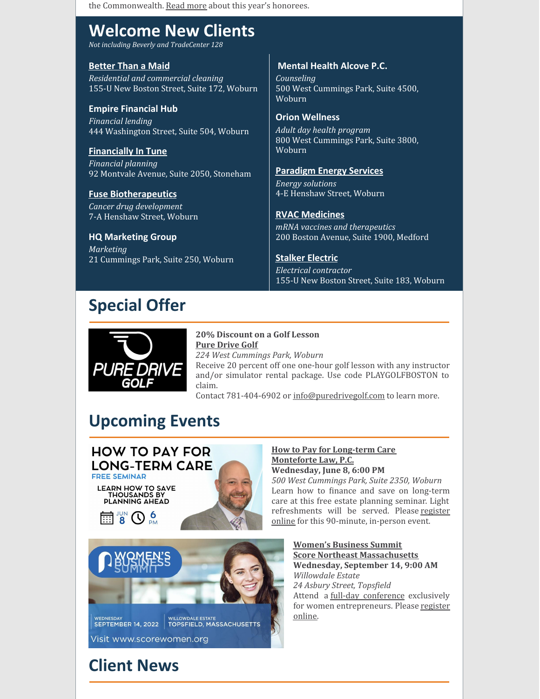the Commonwealth. Read [more](https://www.bizjournals.com/boston/news/2022/03/22/bbj-releases-this-year-s-list-of-fast-50-honorees.html) about this year's honorees.

### **Welcome New Clients**

*Not including Beverly and TradeCenter 128*

#### **[Better](https://betterthanamaid.com/) Than a Maid**

*Residential and commercial cleaning* 155-U New Boston Street, Suite 172, Woburn

**Empire Financial Hub** *Financial lending* 444 Washington Street, Suite 504, Woburn

#### **[Financially](http://www.financiallyintune.com/) In Tune**

*Financial planning* 92 Montvale Avenue, Suite 2050, Stoneham

#### **Fuse [Biotherapeutics](http://www.fusebiotx.com/)**

*Cancer drug development* 7-A Henshaw Street, Woburn

#### **HQ Marketing Group**

*Marketing* 21 Cummings Park, Suite 250, Woburn

#### **Mental Health Alcove P.C.**

*Counseling* 500 West Cummings Park, Suite 4500, Woburn

#### **Orion Wellness**

*Adult day health program* 800 West Cummings Park, Suite 3800, Woburn

#### **[Paradigm](http://www.paradigm-esco.com/) Energy Services**

*Energy solutions* 4-E Henshaw Street, Woburn

#### **RVAC [Medicines](https://www.rvacmed.com/)**

*mRNA vaccines and therapeutics* 200 Boston Avenue, Suite 1900, Medford

#### **[Stalker](http://www.stalkerelectric.com/) Electric**

*Electrical contractor* 155-U New Boston Street, Suite 183, Woburn

### **Special Offer**



#### **20% Discount on a Golf Lesson Pure [Drive](https://puredrivegolf.com/) Golf** *224 West Cummings Park, Woburn*

Receive 20 percent off one one-hour golf lesson with any instructor and/or simulator rental package. Use code PLAYGOLFBOSTON to claim.

Contact 781-404-6902 or [info@puredrivegolf.com](mailto:info@puredrivegolf.com) to learn more.

### **Upcoming Events**



#### **How to Pay for [Long-term](https://www.montefortelaw.com/reports/estate-planning-and-elder-law-seminars-ma.cfm) Care [Monteforte](https://www.montefortelaw.com/) Law, P.C. Wednesday, June 8, 6:00 PM**

*500 West Cummings Park, Suite 2350, Woburn* Learn how to finance and save on long-term care at this free estate planning seminar. Light [refreshments](https://www.montefortelaw.com/reports/estate-planning-and-elder-law-seminars-ma.cfm) will be served. Please register online for this 90-minute, in-person event.



**[Women's](https://www.scorewomen.org/) Business Summit Score Northeast [Massachusetts](https://nemassachusetts.score.org/) Wednesday, September 14, 9:00 AM** *Willowdale Estate 24 Asbury Street, Topsfield* Attend a full-day [conference](https://www.scorewomen.org/agenda) exclusively for women [entrepreneurs.](https://events.r20.constantcontact.com/register/eventReg?c=&ch=&oeidk=a07eixey5vhb97a3bee&oseq=) Please register online.

### **Client News**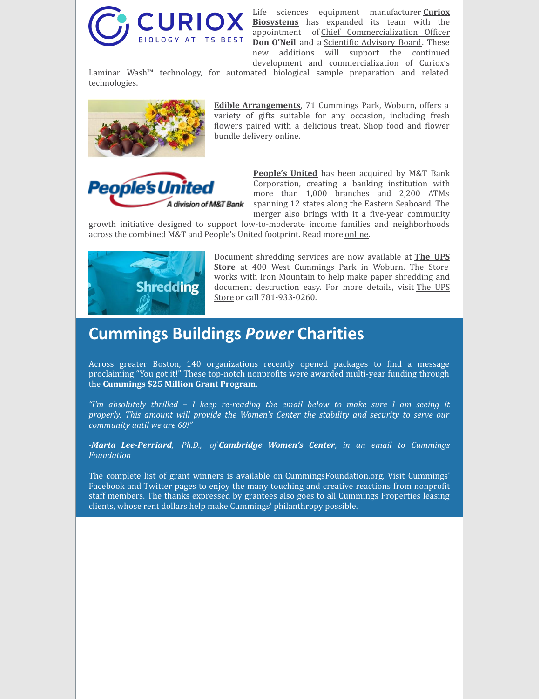

Life sciences equipment [manufacturer](http://www.curiox.com/) **Curiox Biosystems** has expanded its team with the appointment of Chief [Commercialization](https://www.curiox.com/news/curiox-establishes-cco/) Officer **Don O'Neil** and a **Scientific Advisory Board**. These new additions will support the continued development and commercialization of Curiox's

Laminar Wash™ technology, for automated biological sample preparation and related technologies.



**Edible [Arrangements](https://www.ediblearrangements.com/flower-delivery?utm_source=cordial&utm_medium=email&utm_campaign=051122_US_Engaged_Rewards_Everyday)**, 71 Cummings Park, Woburn, offers a variety of gifts suitable for any occasion, including fresh flowers paired with a delicious treat. Shop food and flower bundle delivery [online](https://www.ediblearrangements.com/flower-delivery?utm_source=cordial&utm_medium=email&utm_campaign=051122_US_Engaged_Rewards_Everyday).



**[People's](https://www.peoples.com/) United** has been acquired by M&T Bank Corporation, creating a banking institution with more than 1,000 branches and 2,200 ATMs spanning 12 states along the Eastern Seaboard. The merger also brings with it a five-year community

growth initiative designed to support low-to-moderate income families and neighborhoods across the combined M&T and People's United footprint. Read more [online.](https://newsroom.mtb.com/2022-04-02-M-T-Bank-Corporation-Completes-Acquisition-of-Peoples-United-Financial,-Inc)



[Document](https://locations.theupsstore.com/ma/woburn/400-w-cummings-park?utm_source=Yext&utm_medium=organic&utm_campaign=Listings) shredding services are now available at **The UPS Store** at 400 West Cummings Park in Woburn. The Store works with Iron Mountain to help make paper shredding and document [destruction](https://locations.theupsstore.com/ma/woburn/400-w-cummings-park?utm_source=Yext&utm_medium=organic&utm_campaign=Listings) easy. For more details, visit The UPS Store or call 781-933-0260.

### **Cummings Buildings** *Power* **Charities**

Across greater Boston, 140 organizations recently opened packages to ind a message proclaiming "You got it!" These top-notch nonprofits were awarded multi-year funding through the **Cummings \$25 Million Grant Program**.

*"I'm absolutely thrilled – I keep re-reading the email below to make sure I am seeing it properly. This amount will provide the Women's Center the stability and security to serve our community until we are 60!"*

*-Marta Lee-Perriard, Ph.D., of Cambridge Women's Center, in an email to Cummings Foundation*

The complete list of grant winners is available on [CummingsFoundation.org](https://www.cummingsfoundation.org/grants/grant-recipients.html). Visit Cummings' [Facebook](https://www.facebook.com/cummingsfoundation/) and [Twitter](https://twitter.com/cummingsdotcom) pages to enjoy the many touching and creative reactions from nonprofit staff members. The thanks expressed by grantees also goes to all Cummings Properties leasing clients, whose rent dollars help make Cummings' philanthropy possible.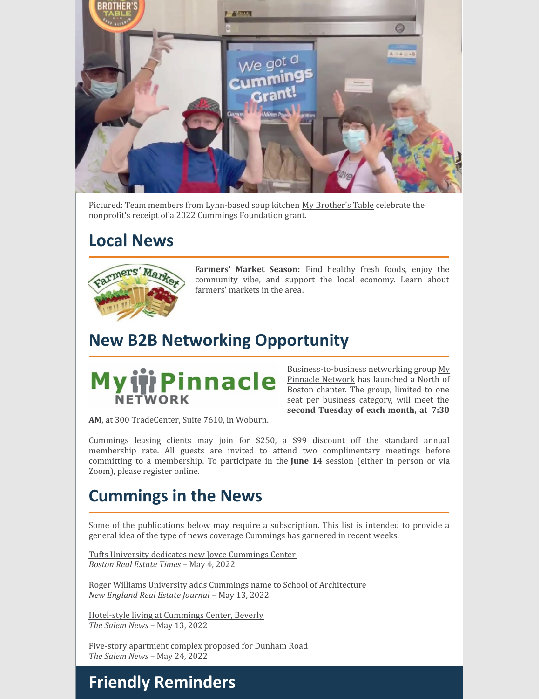

Pictured: Team members from Lynn-based soup kitchen My [Brother's](https://mybrotherstable.org/) Table celebrate the nonprofit's receipt of a 2022 Cummings Foundation grant.

### **Local News**



**Farmers' Market Season:** Find healthy fresh foods, enjoy the community vibe, and support the local economy. Learn about [farmers'](https://massnrc.org/farmlocator/map.aspx?Type=Farmers Markets) markets in the area.

### **New B2B Networking Opportunity**



[Business-to-business](https://www.mypinnaclenetwork.com/) networking group My Pinnacle Network has launched a North of Boston chapter. The group, limited to one seat per business category, will meet the **second Tuesday of each month, at 7:30**

**AM**, at 300 TradeCenter, Suite 7610, in Woburn.

Cummings leasing clients may join for \$250, a \$99 discount off the standard annual membership rate. All guests are invited to attend two complimentary meetings before committing to a membership. To participate in the **June 14** session (either in person or via Zoom), please [register](https://www.mypinnaclenetwork.com/visit/) online.

### **Cummings in the News**

Some of the publications below may require a subscription. This list is intended to provide a general idea of the type of news coverage Cummings has garnered in recent weeks.

Tufts University dedicates new Joyce [Cummings](https://bostonrealestatetimes.com/tufts-university-dedicates-new-joyce-cummings-center/) Center *Boston Real Estate Times* – May 4, 2022

Roger Williams University adds Cummings name to School of [Architecture](https://nerej.com/cummings-foundation-pledges-20-million-to-roger-williams-university) *New England Real Estate Journal* – May 13, 2022

[Hotel-style](https://www.salemnews.com/homes/hotel-style-living-right-here-in-beverly/article_acb94c58-cfc8-11ec-8d9d-6f3457950111.html) living at Cummings Center, Beverly *The Salem News* – May 13, 2022

Five-story [apartment](https://www.salemnews.com/news/5-story-apartment-complex-proposed-for-dunham-road/article_bfffcd5e-d776-11ec-9d9f-c3be00cc5842.html) complex proposed for Dunham Road *The Salem News* – May 24, 2022

### **Friendly Reminders**